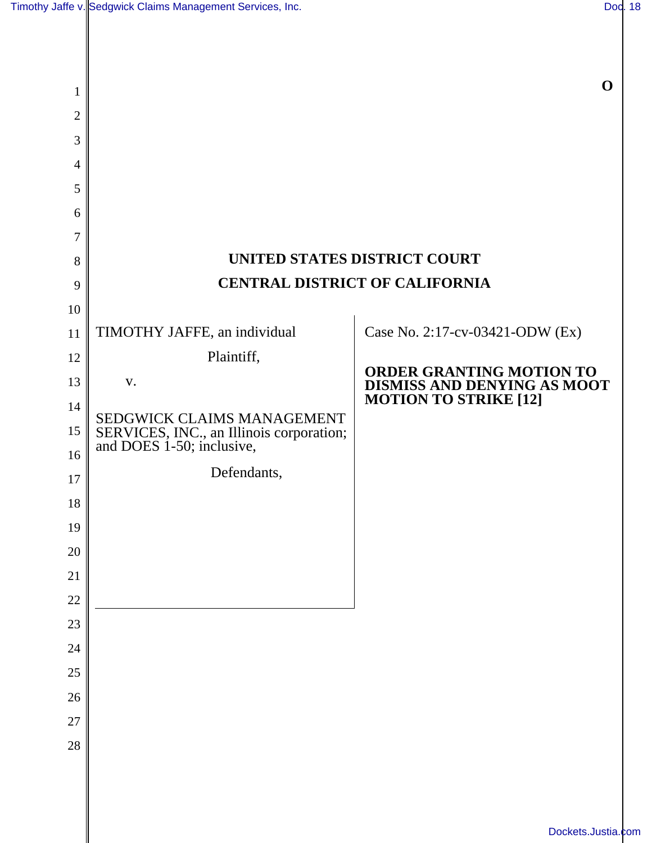| 1              |                                                                       | $\mathbf 0$                                             |
|----------------|-----------------------------------------------------------------------|---------------------------------------------------------|
| $\overline{2}$ |                                                                       |                                                         |
| 3              |                                                                       |                                                         |
| 4              |                                                                       |                                                         |
| 5              |                                                                       |                                                         |
| 6              |                                                                       |                                                         |
| 7              |                                                                       |                                                         |
| 8              | UNITED STATES DISTRICT COURT                                          |                                                         |
| 9              | <b>CENTRAL DISTRICT OF CALIFORNIA</b>                                 |                                                         |
| 10             |                                                                       |                                                         |
| 11             | TIMOTHY JAFFE, an individual                                          | Case No. 2:17-cv-03421-ODW (Ex)                         |
| 12             | Plaintiff,                                                            |                                                         |
| 13             | V.                                                                    | ORDER GRANTING MOTION TO<br>DISMISS AND DENYING AS MOOT |
| 14             | SEDGWICK CLAIMS MANAGEMENT                                            | <b>MOTION TO STRIKE [12]</b>                            |
| 15             | SERVICES, INC., an Illinois corporation;<br>and DOES 1-50; inclusive, |                                                         |
| 16             |                                                                       |                                                         |
| 17             | Defendants,                                                           |                                                         |
| 18             |                                                                       |                                                         |
| 19             |                                                                       |                                                         |
| $20\,$         |                                                                       |                                                         |
| 21             |                                                                       |                                                         |
| 22             |                                                                       |                                                         |
| 23             |                                                                       |                                                         |
| 24             |                                                                       |                                                         |
| $25\,$         |                                                                       |                                                         |
| 26<br>27       |                                                                       |                                                         |
| 28             |                                                                       |                                                         |
|                |                                                                       |                                                         |
|                |                                                                       |                                                         |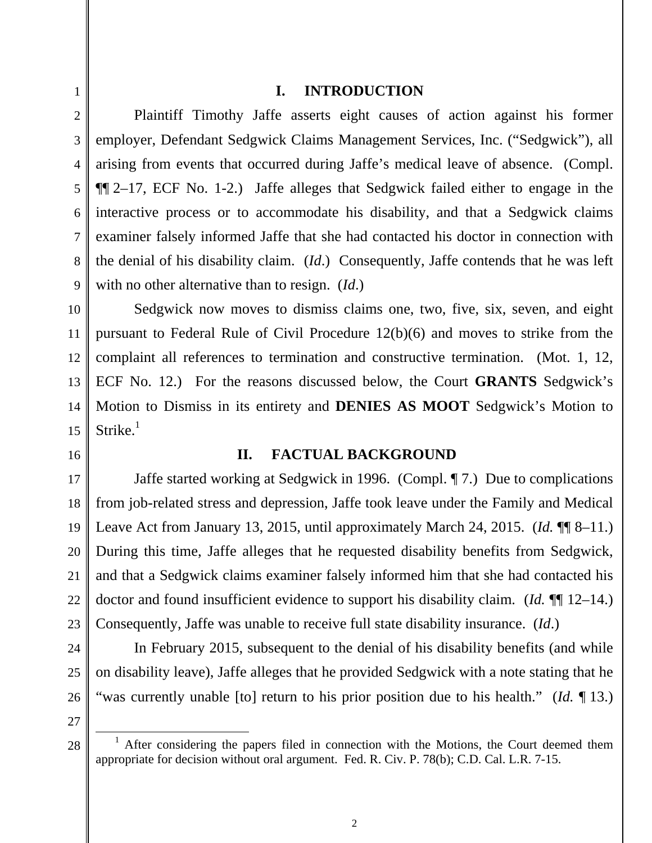4

5

7

8

1

#### **I. INTRODUCTION**

6 9 Plaintiff Timothy Jaffe asserts eight causes of action against his former employer, Defendant Sedgwick Claims Management Services, Inc. ("Sedgwick"), all arising from events that occurred during Jaffe's medical leave of absence. (Compl. ¶¶ 2–17, ECF No. 1-2.) Jaffe alleges that Sedgwick failed either to engage in the interactive process or to accommodate his disability, and that a Sedgwick claims examiner falsely informed Jaffe that she had contacted his doctor in connection with the denial of his disability claim. (*Id*.) Consequently, Jaffe contends that he was left with no other alternative than to resign. (*Id*.)

10 11 12 13 14 15 Sedgwick now moves to dismiss claims one, two, five, six, seven, and eight pursuant to Federal Rule of Civil Procedure 12(b)(6) and moves to strike from the complaint all references to termination and constructive termination. (Mot. 1, 12, ECF No. 12.) For the reasons discussed below, the Court **GRANTS** Sedgwick's Motion to Dismiss in its entirety and **DENIES AS MOOT** Sedgwick's Motion to Strike. $1$ 

#### 16

#### **II. FACTUAL BACKGROUND**

17 18 19 20 21 22 23 Jaffe started working at Sedgwick in 1996. (Compl. ¶ 7.) Due to complications from job-related stress and depression, Jaffe took leave under the Family and Medical Leave Act from January 13, 2015, until approximately March 24, 2015. (*Id.* ¶¶ 8–11.) During this time, Jaffe alleges that he requested disability benefits from Sedgwick, and that a Sedgwick claims examiner falsely informed him that she had contacted his doctor and found insufficient evidence to support his disability claim. (*Id.* ¶¶ 12–14.) Consequently, Jaffe was unable to receive full state disability insurance. (*Id*.)

In February 2015, subsequent to the denial of his disability benefits (and while on disability leave), Jaffe alleges that he provided Sedgwick with a note stating that he "was currently unable [to] return to his prior position due to his health." (*Id.* ¶ 13.)

27

28

 $\overline{a}$ 

24

25

 $1$  After considering the papers filed in connection with the Motions, the Court deemed them appropriate for decision without oral argument. Fed. R. Civ. P. 78(b); C.D. Cal. L.R. 7-15.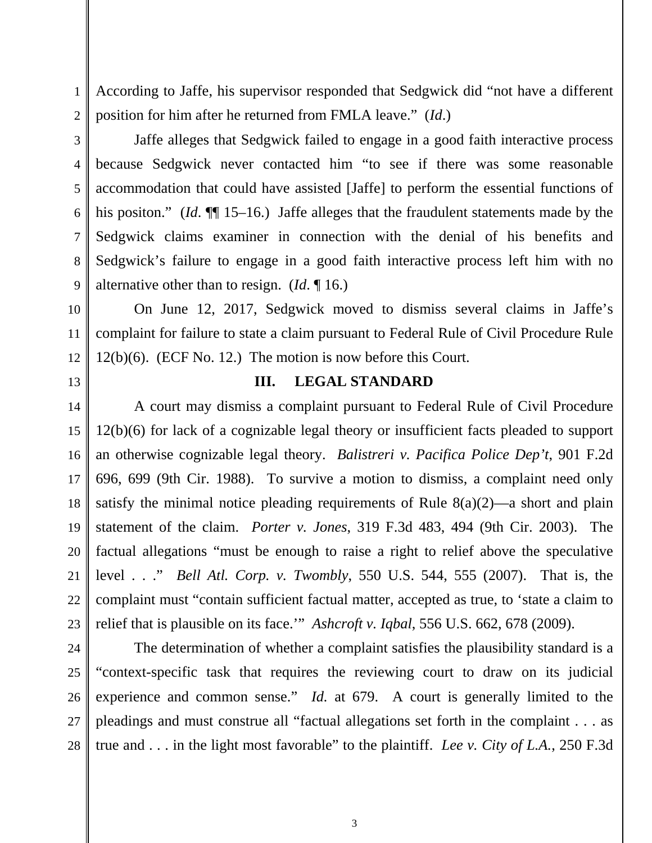According to Jaffe, his supervisor responded that Sedgwick did "not have a different position for him after he returned from FMLA leave." (*Id*.)

2 3

1

4

5

6

7

8

9

Jaffe alleges that Sedgwick failed to engage in a good faith interactive process because Sedgwick never contacted him "to see if there was some reasonable accommodation that could have assisted [Jaffe] to perform the essential functions of his positon." (*Id*. ¶[ 15–16.) Jaffe alleges that the fraudulent statements made by the Sedgwick claims examiner in connection with the denial of his benefits and Sedgwick's failure to engage in a good faith interactive process left him with no alternative other than to resign. (*Id*. ¶ 16.)

10 11 12 On June 12, 2017, Sedgwick moved to dismiss several claims in Jaffe's complaint for failure to state a claim pursuant to Federal Rule of Civil Procedure Rule 12(b)(6). (ECF No. 12.) The motion is now before this Court.

13

#### **III. LEGAL STANDARD**

14 15 16 17 18 19 20 21 22 23 A court may dismiss a complaint pursuant to Federal Rule of Civil Procedure 12(b)(6) for lack of a cognizable legal theory or insufficient facts pleaded to support an otherwise cognizable legal theory. *Balistreri v. Pacifica Police Dep't*, 901 F.2d 696, 699 (9th Cir. 1988). To survive a motion to dismiss, a complaint need only satisfy the minimal notice pleading requirements of Rule  $8(a)(2)$ —a short and plain statement of the claim. *Porter v. Jones*, 319 F.3d 483, 494 (9th Cir. 2003). The factual allegations "must be enough to raise a right to relief above the speculative level . . ." *Bell Atl. Corp. v. Twombly*, 550 U.S. 544, 555 (2007). That is, the complaint must "contain sufficient factual matter, accepted as true, to 'state a claim to relief that is plausible on its face.'" *Ashcroft v. Iqbal*, 556 U.S. 662, 678 (2009).

24 25 26 27 28 The determination of whether a complaint satisfies the plausibility standard is a "context-specific task that requires the reviewing court to draw on its judicial experience and common sense." *Id.* at 679. A court is generally limited to the pleadings and must construe all "factual allegations set forth in the complaint . . . as true and . . . in the light most favorable" to the plaintiff. *Lee v. City of L.A.*, 250 F.3d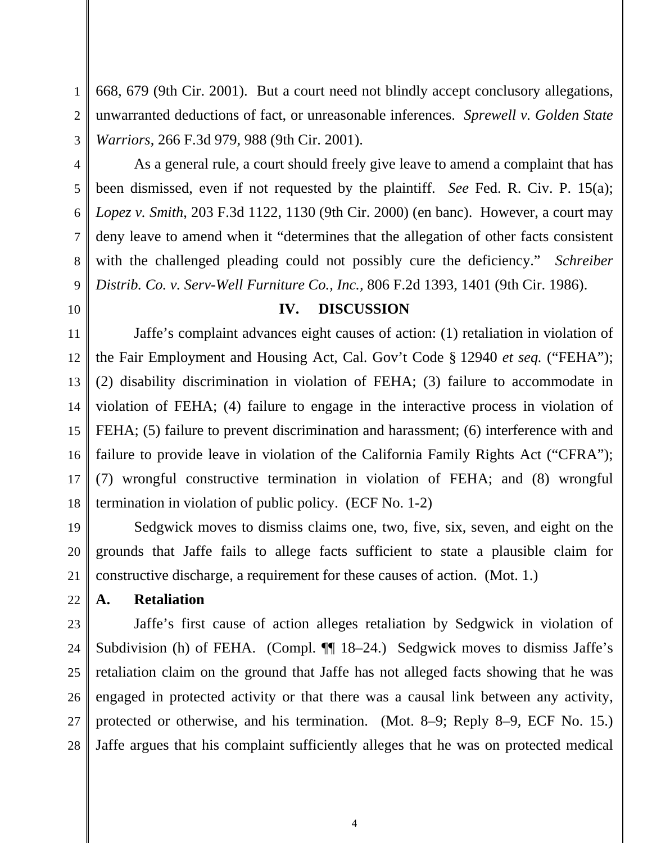668, 679 (9th Cir. 2001). But a court need not blindly accept conclusory allegations, unwarranted deductions of fact, or unreasonable inferences. *Sprewell v. Golden State Warriors*, 266 F.3d 979, 988 (9th Cir. 2001).

 As a general rule, a court should freely give leave to amend a complaint that has been dismissed, even if not requested by the plaintiff. *See* Fed. R. Civ. P. 15(a); *Lopez v. Smith*, 203 F.3d 1122, 1130 (9th Cir. 2000) (en banc). However, a court may deny leave to amend when it "determines that the allegation of other facts consistent with the challenged pleading could not possibly cure the deficiency." *Schreiber Distrib. Co. v. Serv-Well Furniture Co., Inc.,* 806 F.2d 1393, 1401 (9th Cir. 1986).

# **IV. DISCUSSION**

Jaffe's complaint advances eight causes of action: (1) retaliation in violation of the Fair Employment and Housing Act, Cal. Gov't Code § 12940 *et seq.* ("FEHA"); (2) disability discrimination in violation of FEHA; (3) failure to accommodate in violation of FEHA; (4) failure to engage in the interactive process in violation of FEHA; (5) failure to prevent discrimination and harassment; (6) interference with and failure to provide leave in violation of the California Family Rights Act ("CFRA"); (7) wrongful constructive termination in violation of FEHA; and (8) wrongful termination in violation of public policy. (ECF No. 1-2)

19 20 21 Sedgwick moves to dismiss claims one, two, five, six, seven, and eight on the grounds that Jaffe fails to allege facts sufficient to state a plausible claim for constructive discharge, a requirement for these causes of action. (Mot. 1.)

**A. Retaliation** 

23 24 25 26 27 28 Jaffe's first cause of action alleges retaliation by Sedgwick in violation of Subdivision (h) of FEHA. (Compl. ¶¶ 18–24.) Sedgwick moves to dismiss Jaffe's retaliation claim on the ground that Jaffe has not alleged facts showing that he was engaged in protected activity or that there was a causal link between any activity, protected or otherwise, and his termination. (Mot. 8–9; Reply 8–9, ECF No. 15.) Jaffe argues that his complaint sufficiently alleges that he was on protected medical

1

2

3

4

5

6

7

8

9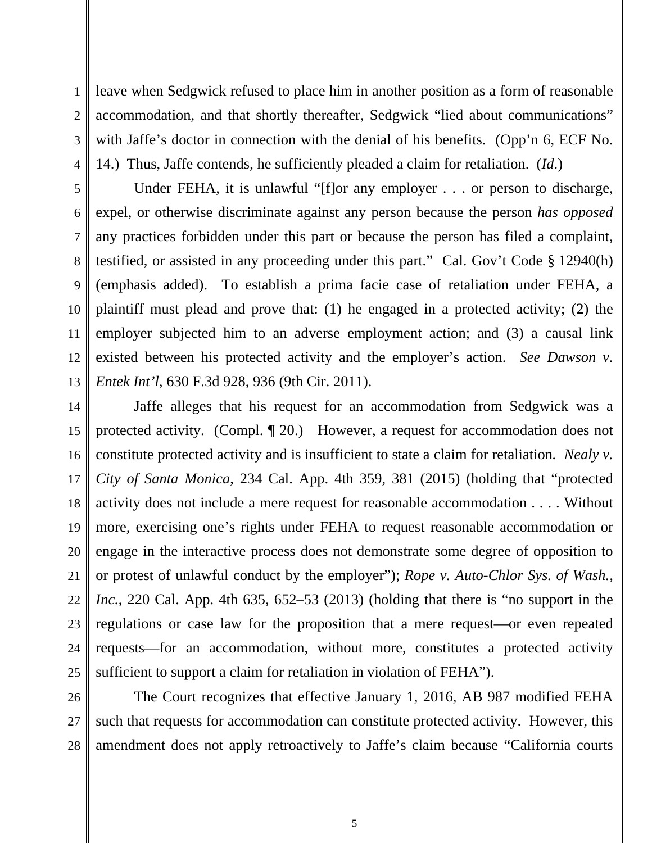1 2 3 4 leave when Sedgwick refused to place him in another position as a form of reasonable accommodation, and that shortly thereafter, Sedgwick "lied about communications" with Jaffe's doctor in connection with the denial of his benefits. (Opp'n 6, ECF No. 14.) Thus, Jaffe contends, he sufficiently pleaded a claim for retaliation. (*Id*.)

5 6 7 8 9 10 11 12 13 Under FEHA, it is unlawful "[f]or any employer . . . or person to discharge, expel, or otherwise discriminate against any person because the person *has opposed* any practices forbidden under this part or because the person has filed a complaint, testified, or assisted in any proceeding under this part." Cal. Gov't Code § 12940(h) (emphasis added). To establish a prima facie case of retaliation under FEHA, a plaintiff must plead and prove that: (1) he engaged in a protected activity; (2) the employer subjected him to an adverse employment action; and (3) a causal link existed between his protected activity and the employer's action. *See Dawson v. Entek Int'l*, 630 F.3d 928, 936 (9th Cir. 2011).

14 15 16 17 18 19 20 21 22 23 24 25 Jaffe alleges that his request for an accommodation from Sedgwick was a protected activity. (Compl. ¶ 20.) However, a request for accommodation does not constitute protected activity and is insufficient to state a claim for retaliation*. Nealy v. City of Santa Monica*, 234 Cal. App. 4th 359, 381 (2015) (holding that "protected activity does not include a mere request for reasonable accommodation . . . . Without more, exercising one's rights under FEHA to request reasonable accommodation or engage in the interactive process does not demonstrate some degree of opposition to or protest of unlawful conduct by the employer"); *Rope v. Auto-Chlor Sys. of Wash., Inc.*, 220 Cal. App. 4th 635, 652–53 (2013) (holding that there is "no support in the regulations or case law for the proposition that a mere request—or even repeated requests—for an accommodation, without more, constitutes a protected activity sufficient to support a claim for retaliation in violation of FEHA").

26 27 28 The Court recognizes that effective January 1, 2016, AB 987 modified FEHA such that requests for accommodation can constitute protected activity. However, this amendment does not apply retroactively to Jaffe's claim because "California courts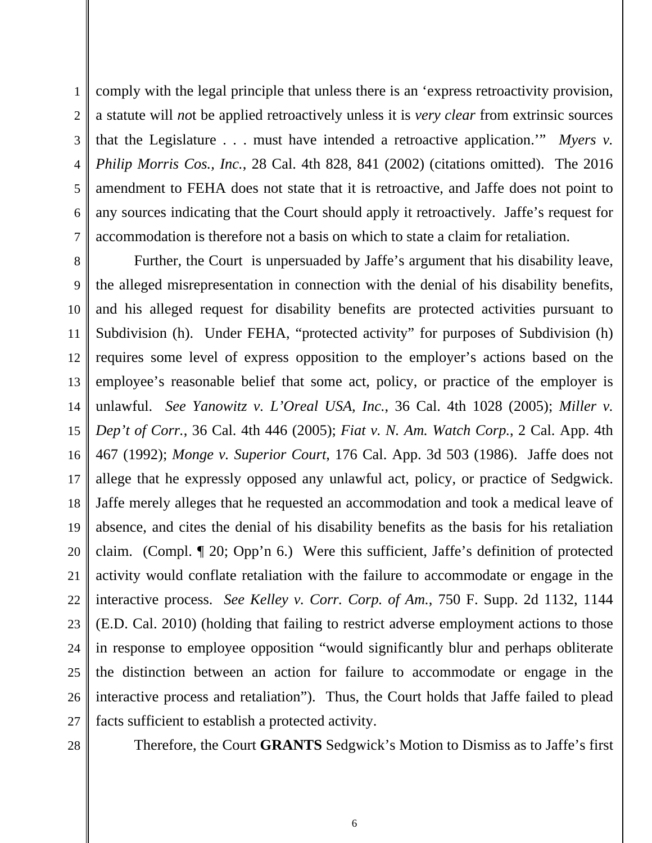1 2 3 4 5 6 7 comply with the legal principle that unless there is an 'express retroactivity provision, a statute will *no*t be applied retroactively unless it is *very clear* from extrinsic sources that the Legislature . . . must have intended a retroactive application.'" *Myers v. Philip Morris Cos., Inc.*, 28 Cal. 4th 828, 841 (2002) (citations omitted). The 2016 amendment to FEHA does not state that it is retroactive, and Jaffe does not point to any sources indicating that the Court should apply it retroactively. Jaffe's request for accommodation is therefore not a basis on which to state a claim for retaliation.

8 9 10 11 12 13 14 15 16 17 18 19 20 21 22 23 24 25 26 27 Further, the Court is unpersuaded by Jaffe's argument that his disability leave, the alleged misrepresentation in connection with the denial of his disability benefits, and his alleged request for disability benefits are protected activities pursuant to Subdivision (h). Under FEHA, "protected activity" for purposes of Subdivision (h) requires some level of express opposition to the employer's actions based on the employee's reasonable belief that some act, policy, or practice of the employer is unlawful. *See Yanowitz v. L'Oreal USA, Inc.*, 36 Cal. 4th 1028 (2005); *Miller v. Dep't of Corr.*, 36 Cal. 4th 446 (2005); *Fiat v. N. Am. Watch Corp.*, 2 Cal. App. 4th 467 (1992); *Monge v. Superior Court*, 176 Cal. App. 3d 503 (1986). Jaffe does not allege that he expressly opposed any unlawful act, policy, or practice of Sedgwick. Jaffe merely alleges that he requested an accommodation and took a medical leave of absence, and cites the denial of his disability benefits as the basis for his retaliation claim. (Compl. ¶ 20; Opp'n 6.) Were this sufficient, Jaffe's definition of protected activity would conflate retaliation with the failure to accommodate or engage in the interactive process. *See Kelley v. Corr. Corp. of Am.*, 750 F. Supp. 2d 1132, 1144 (E.D. Cal. 2010) (holding that failing to restrict adverse employment actions to those in response to employee opposition "would significantly blur and perhaps obliterate the distinction between an action for failure to accommodate or engage in the interactive process and retaliation"). Thus, the Court holds that Jaffe failed to plead facts sufficient to establish a protected activity.

28

Therefore, the Court **GRANTS** Sedgwick's Motion to Dismiss as to Jaffe's first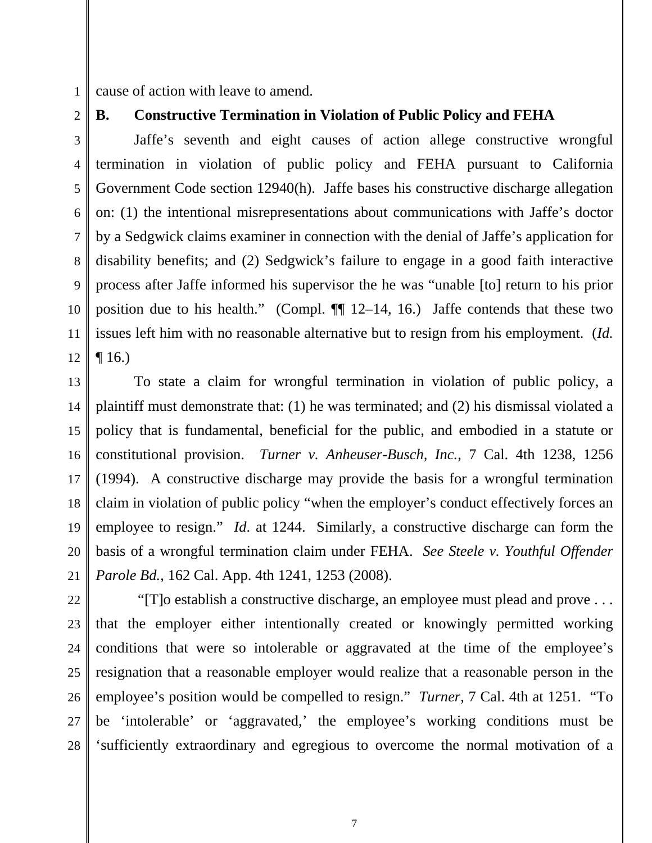1 cause of action with leave to amend.

2

3

4

5

6

7

8

9

10

11

12

# **B. Constructive Termination in Violation of Public Policy and FEHA**

 Jaffe's seventh and eight causes of action allege constructive wrongful termination in violation of public policy and FEHA pursuant to California Government Code section 12940(h). Jaffe bases his constructive discharge allegation on: (1) the intentional misrepresentations about communications with Jaffe's doctor by a Sedgwick claims examiner in connection with the denial of Jaffe's application for disability benefits; and (2) Sedgwick's failure to engage in a good faith interactive process after Jaffe informed his supervisor the he was "unable [to] return to his prior position due to his health." (Compl.  $\P\P$  12–14, 16.) Jaffe contends that these two issues left him with no reasonable alternative but to resign from his employment. (*Id.*  $\P$  16.)

13 14 15 16 17 18 19 20 21 To state a claim for wrongful termination in violation of public policy, a plaintiff must demonstrate that: (1) he was terminated; and (2) his dismissal violated a policy that is fundamental, beneficial for the public, and embodied in a statute or constitutional provision. *Turner v. Anheuser-Busch, Inc.*, 7 Cal. 4th 1238, 1256 (1994). A constructive discharge may provide the basis for a wrongful termination claim in violation of public policy "when the employer's conduct effectively forces an employee to resign." *Id*. at 1244. Similarly, a constructive discharge can form the basis of a wrongful termination claim under FEHA. *See Steele v. Youthful Offender Parole Bd.*, 162 Cal. App. 4th 1241, 1253 (2008).

22 23 24 25 26 27 28 "[T]o establish a constructive discharge, an employee must plead and prove . . . that the employer either intentionally created or knowingly permitted working conditions that were so intolerable or aggravated at the time of the employee's resignation that a reasonable employer would realize that a reasonable person in the employee's position would be compelled to resign." *Turner*, 7 Cal. 4th at 1251. "To be 'intolerable' or 'aggravated,' the employee's working conditions must be 'sufficiently extraordinary and egregious to overcome the normal motivation of a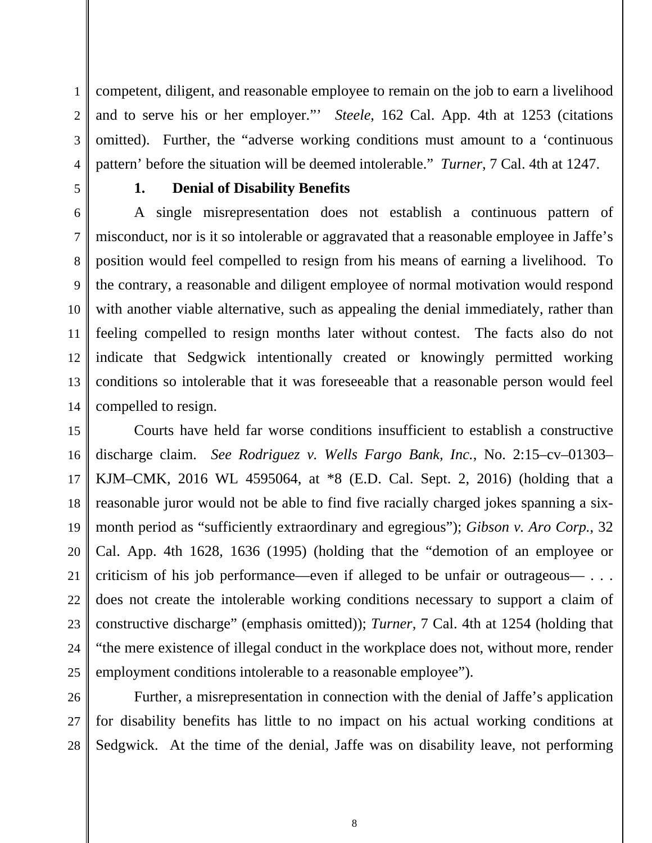1 2 3 4 competent, diligent, and reasonable employee to remain on the job to earn a livelihood and to serve his or her employer."' *Steele*, 162 Cal. App. 4th at 1253 (citations omitted). Further, the "adverse working conditions must amount to a 'continuous pattern' before the situation will be deemed intolerable." *Turner*, 7 Cal. 4th at 1247.

5

## **1. Denial of Disability Benefits**

6 7 8 9 10 11 12 13 14 A single misrepresentation does not establish a continuous pattern of misconduct, nor is it so intolerable or aggravated that a reasonable employee in Jaffe's position would feel compelled to resign from his means of earning a livelihood. To the contrary, a reasonable and diligent employee of normal motivation would respond with another viable alternative, such as appealing the denial immediately, rather than feeling compelled to resign months later without contest. The facts also do not indicate that Sedgwick intentionally created or knowingly permitted working conditions so intolerable that it was foreseeable that a reasonable person would feel compelled to resign.

15 16 17 18 19 20 21 22 23 24 25 Courts have held far worse conditions insufficient to establish a constructive discharge claim. *See Rodriguez v. Wells Fargo Bank, Inc.*, No. 2:15–cv–01303– KJM–CMK, 2016 WL 4595064, at \*8 (E.D. Cal. Sept. 2, 2016) (holding that a reasonable juror would not be able to find five racially charged jokes spanning a sixmonth period as "sufficiently extraordinary and egregious"); *Gibson v. Aro Corp.*, 32 Cal. App. 4th 1628, 1636 (1995) (holding that the "demotion of an employee or criticism of his job performance—even if alleged to be unfair or outrageous— . . . does not create the intolerable working conditions necessary to support a claim of constructive discharge" (emphasis omitted)); *Turner*, 7 Cal. 4th at 1254 (holding that "the mere existence of illegal conduct in the workplace does not, without more, render employment conditions intolerable to a reasonable employee").

26 27 28 Further, a misrepresentation in connection with the denial of Jaffe's application for disability benefits has little to no impact on his actual working conditions at Sedgwick. At the time of the denial, Jaffe was on disability leave, not performing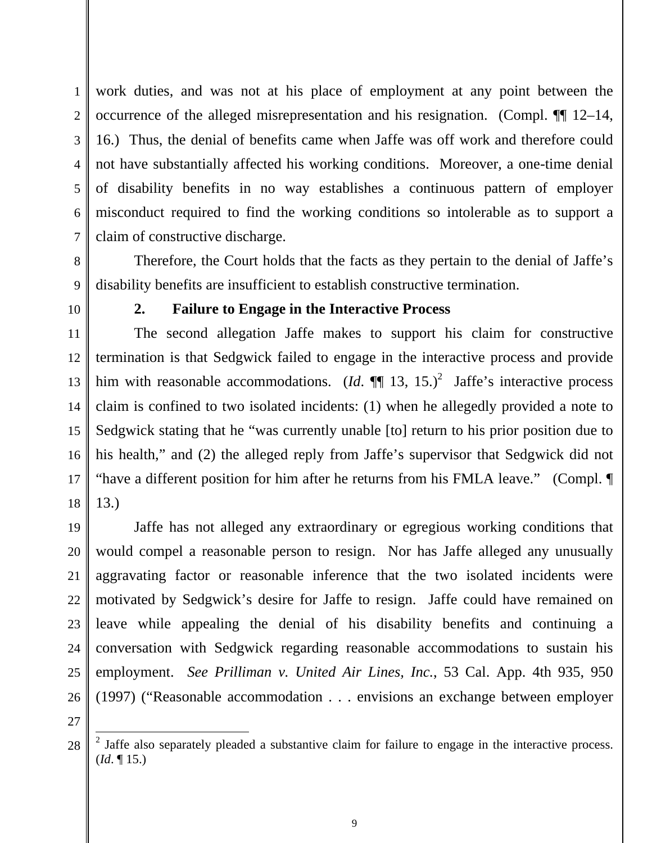1 2 3 4 5 6 7 work duties, and was not at his place of employment at any point between the occurrence of the alleged misrepresentation and his resignation. (Compl. ¶¶ 12–14, 16.) Thus, the denial of benefits came when Jaffe was off work and therefore could not have substantially affected his working conditions. Moreover, a one-time denial of disability benefits in no way establishes a continuous pattern of employer misconduct required to find the working conditions so intolerable as to support a claim of constructive discharge.

8 9 Therefore, the Court holds that the facts as they pertain to the denial of Jaffe's disability benefits are insufficient to establish constructive termination.

10

### **2. Failure to Engage in the Interactive Process**

11 12 13 14 15 16 17 18 The second allegation Jaffe makes to support his claim for constructive termination is that Sedgwick failed to engage in the interactive process and provide him with reasonable accommodations.  $(Id. \P \P 13, 15.)^2$  Jaffe's interactive process claim is confined to two isolated incidents: (1) when he allegedly provided a note to Sedgwick stating that he "was currently unable [to] return to his prior position due to his health," and (2) the alleged reply from Jaffe's supervisor that Sedgwick did not "have a different position for him after he returns from his FMLA leave." (Compl. ¶ 13.)

19 20 21 22 23 24 25 26 Jaffe has not alleged any extraordinary or egregious working conditions that would compel a reasonable person to resign. Nor has Jaffe alleged any unusually aggravating factor or reasonable inference that the two isolated incidents were motivated by Sedgwick's desire for Jaffe to resign. Jaffe could have remained on leave while appealing the denial of his disability benefits and continuing a conversation with Sedgwick regarding reasonable accommodations to sustain his employment. *See Prilliman v. United Air Lines, Inc.*, 53 Cal. App. 4th 935, 950 (1997) ("Reasonable accommodation . . . envisions an exchange between employer

27

-

<sup>28</sup>  $2$  Jaffe also separately pleaded a substantive claim for failure to engage in the interactive process. (*Id*. ¶ 15.)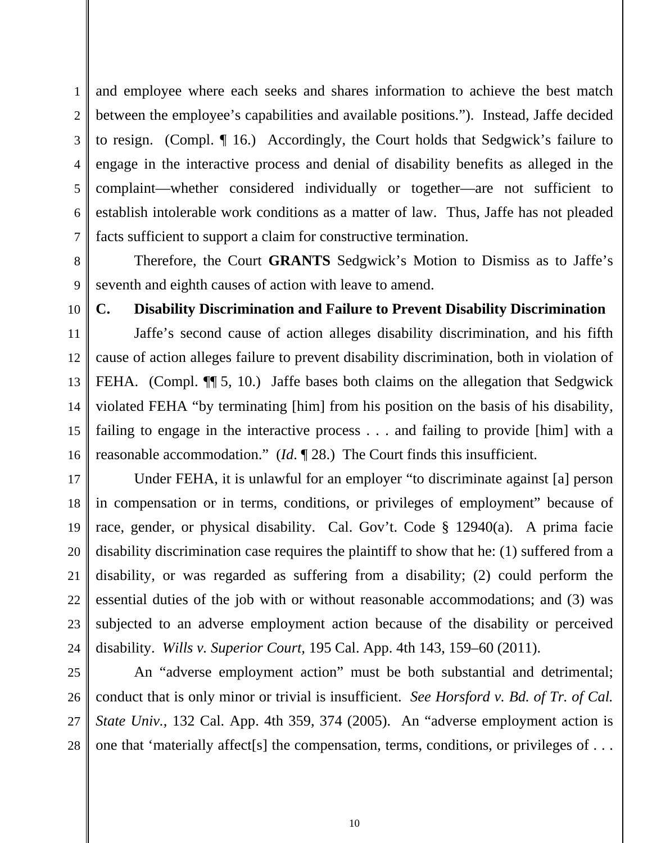1 2 3 4 5 6 7 and employee where each seeks and shares information to achieve the best match between the employee's capabilities and available positions."). Instead, Jaffe decided to resign. (Compl. ¶ 16.) Accordingly, the Court holds that Sedgwick's failure to engage in the interactive process and denial of disability benefits as alleged in the complaint—whether considered individually or together—are not sufficient to establish intolerable work conditions as a matter of law. Thus, Jaffe has not pleaded facts sufficient to support a claim for constructive termination.

8 9 Therefore, the Court **GRANTS** Sedgwick's Motion to Dismiss as to Jaffe's seventh and eighth causes of action with leave to amend.

#### 10

14

15

#### **C. Disability Discrimination and Failure to Prevent Disability Discrimination**

11 12 13 16 Jaffe's second cause of action alleges disability discrimination, and his fifth cause of action alleges failure to prevent disability discrimination, both in violation of FEHA. (Compl.  $\P$  5, 10.) Jaffe bases both claims on the allegation that Sedgwick violated FEHA "by terminating [him] from his position on the basis of his disability, failing to engage in the interactive process . . . and failing to provide [him] with a reasonable accommodation." (*Id*. ¶ 28.) The Court finds this insufficient.

17 18 19 20 21 22 23 24 Under FEHA, it is unlawful for an employer "to discriminate against [a] person in compensation or in terms, conditions, or privileges of employment" because of race, gender, or physical disability. Cal. Gov't. Code § 12940(a). A prima facie disability discrimination case requires the plaintiff to show that he: (1) suffered from a disability, or was regarded as suffering from a disability; (2) could perform the essential duties of the job with or without reasonable accommodations; and (3) was subjected to an adverse employment action because of the disability or perceived disability. *Wills v. Superior Court,* 195 Cal. App. 4th 143, 159–60 (2011).

25 26 27 28 An "adverse employment action" must be both substantial and detrimental; conduct that is only minor or trivial is insufficient. *See Horsford v. Bd. of Tr. of Cal. State Univ.*, 132 Cal. App. 4th 359, 374 (2005). An "adverse employment action is one that 'materially affect[s] the compensation, terms, conditions, or privileges of . . .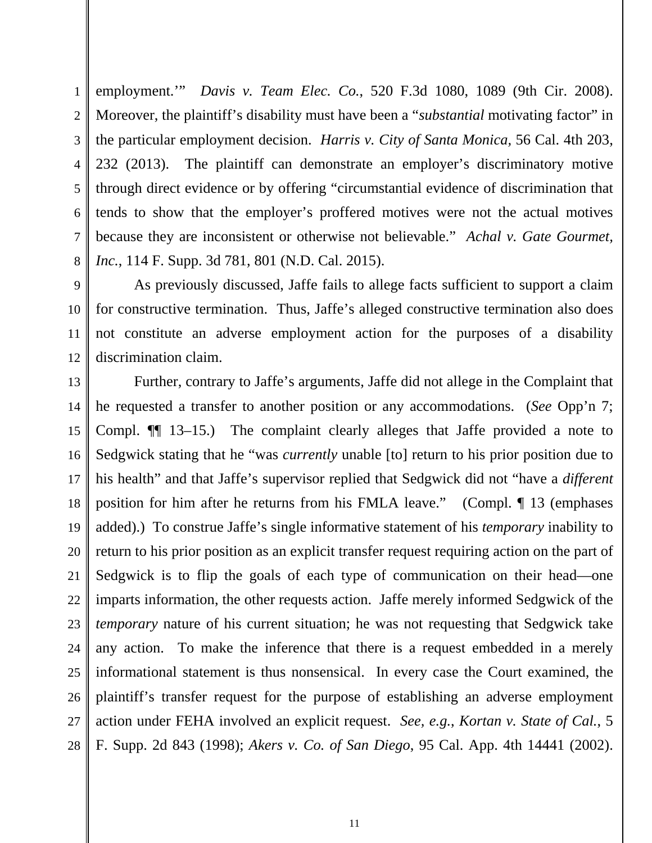1 2 3 4 5 6 7 8 employment.'" *Davis v. Team Elec. Co.*, 520 F.3d 1080, 1089 (9th Cir. 2008). Moreover, the plaintiff's disability must have been a "*substantial* motivating factor" in the particular employment decision. *Harris v. City of Santa Monica,* 56 Cal. 4th 203, 232 (2013). The plaintiff can demonstrate an employer's discriminatory motive through direct evidence or by offering "circumstantial evidence of discrimination that tends to show that the employer's proffered motives were not the actual motives because they are inconsistent or otherwise not believable." *Achal v. Gate Gourmet, Inc.*, 114 F. Supp. 3d 781, 801 (N.D. Cal. 2015).

9 10 11 12 As previously discussed, Jaffe fails to allege facts sufficient to support a claim for constructive termination. Thus, Jaffe's alleged constructive termination also does not constitute an adverse employment action for the purposes of a disability discrimination claim.

13 14 15 16 17 18 19 20 21 22 23 24 25 26 27 28 Further, contrary to Jaffe's arguments, Jaffe did not allege in the Complaint that he requested a transfer to another position or any accommodations. (*See* Opp'n 7; Compl. ¶¶ 13–15.) The complaint clearly alleges that Jaffe provided a note to Sedgwick stating that he "was *currently* unable [to] return to his prior position due to his health" and that Jaffe's supervisor replied that Sedgwick did not "have a *different* position for him after he returns from his FMLA leave." (Compl. ¶ 13 (emphases added).) To construe Jaffe's single informative statement of his *temporary* inability to return to his prior position as an explicit transfer request requiring action on the part of Sedgwick is to flip the goals of each type of communication on their head—one imparts information, the other requests action. Jaffe merely informed Sedgwick of the *temporary* nature of his current situation; he was not requesting that Sedgwick take any action. To make the inference that there is a request embedded in a merely informational statement is thus nonsensical. In every case the Court examined, the plaintiff's transfer request for the purpose of establishing an adverse employment action under FEHA involved an explicit request. *See, e.g.*, *Kortan v. State of Cal.*, 5 F. Supp. 2d 843 (1998); *Akers v. Co. of San Diego*, 95 Cal. App. 4th 14441 (2002).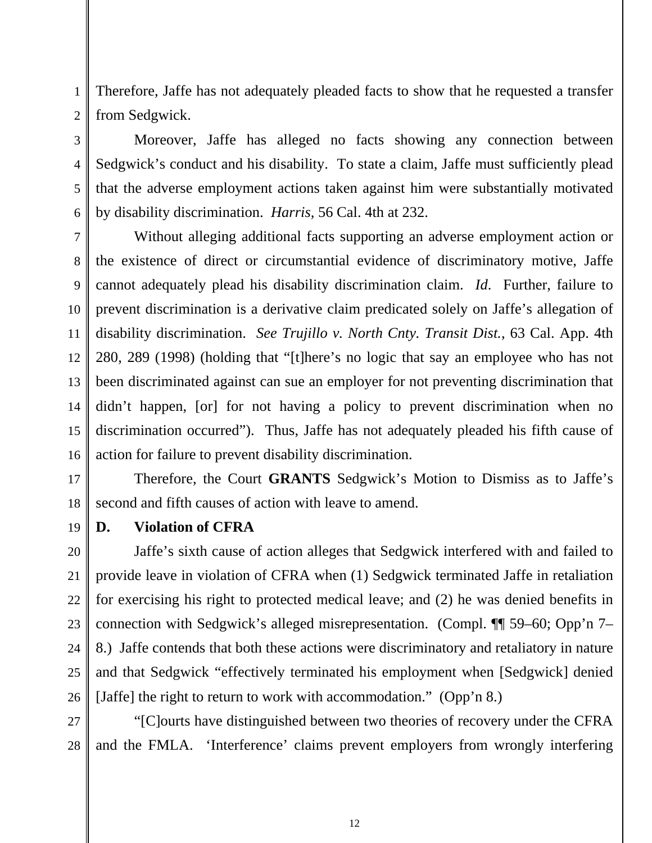1 2 Therefore, Jaffe has not adequately pleaded facts to show that he requested a transfer from Sedgwick.

3 5 6 Moreover, Jaffe has alleged no facts showing any connection between Sedgwick's conduct and his disability. To state a claim, Jaffe must sufficiently plead that the adverse employment actions taken against him were substantially motivated by disability discrimination. *Harris,* 56 Cal. 4th at 232.

7 8 9 10 Without alleging additional facts supporting an adverse employment action or the existence of direct or circumstantial evidence of discriminatory motive, Jaffe cannot adequately plead his disability discrimination claim. *Id*. Further, failure to prevent discrimination is a derivative claim predicated solely on Jaffe's allegation of disability discrimination. *See Trujillo v. North Cnty. Transit Dist.*, 63 Cal. App. 4th 280, 289 (1998) (holding that "[t]here's no logic that say an employee who has not been discriminated against can sue an employer for not preventing discrimination that didn't happen, [or] for not having a policy to prevent discrimination when no discrimination occurred"). Thus, Jaffe has not adequately pleaded his fifth cause of action for failure to prevent disability discrimination.

Therefore, the Court **GRANTS** Sedgwick's Motion to Dismiss as to Jaffe's second and fifth causes of action with leave to amend.

### **D. Violation of CFRA**

Jaffe's sixth cause of action alleges that Sedgwick interfered with and failed to provide leave in violation of CFRA when (1) Sedgwick terminated Jaffe in retaliation for exercising his right to protected medical leave; and (2) he was denied benefits in connection with Sedgwick's alleged misrepresentation. (Compl. ¶¶ 59–60; Opp'n 7– 8.) Jaffe contends that both these actions were discriminatory and retaliatory in nature and that Sedgwick "effectively terminated his employment when [Sedgwick] denied [Jaffe] the right to return to work with accommodation." (Opp'n 8.)

27 28 "[C]ourts have distinguished between two theories of recovery under the CFRA and the FMLA. 'Interference' claims prevent employers from wrongly interfering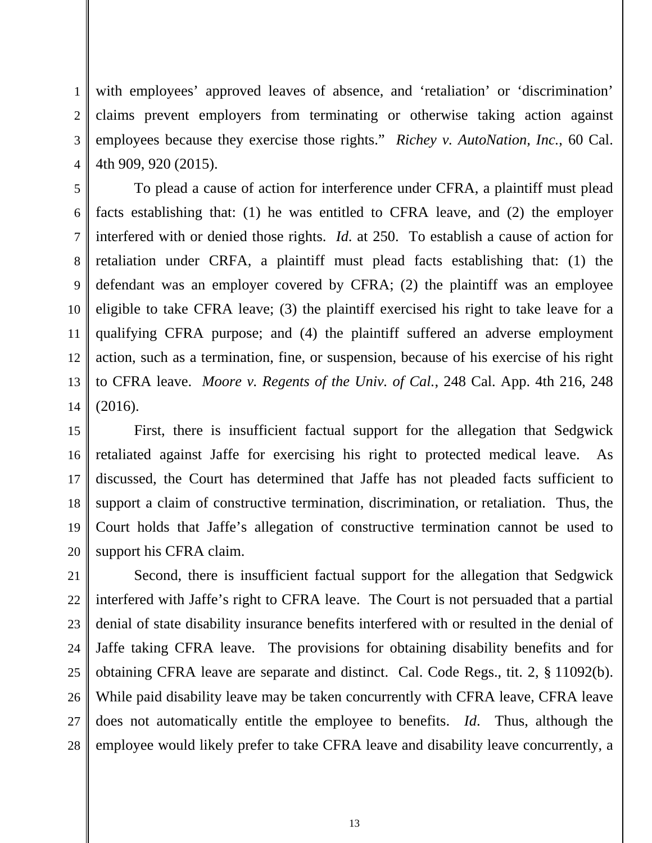1 2 3 4 with employees' approved leaves of absence, and 'retaliation' or 'discrimination' claims prevent employers from terminating or otherwise taking action against employees because they exercise those rights." *Richey v. AutoNation, Inc.*, 60 Cal. 4th 909, 920 (2015).

5 6 7 8 9 10 11 12 13 14 To plead a cause of action for interference under CFRA, a plaintiff must plead facts establishing that: (1) he was entitled to CFRA leave, and (2) the employer interfered with or denied those rights. *Id*. at 250. To establish a cause of action for retaliation under CRFA, a plaintiff must plead facts establishing that: (1) the defendant was an employer covered by CFRA; (2) the plaintiff was an employee eligible to take CFRA leave; (3) the plaintiff exercised his right to take leave for a qualifying CFRA purpose; and (4) the plaintiff suffered an adverse employment action, such as a termination, fine, or suspension, because of his exercise of his right to CFRA leave. *Moore v. Regents of the Univ. of Cal.*, 248 Cal. App. 4th 216, 248 (2016).

15 16 17 18 19 20 First, there is insufficient factual support for the allegation that Sedgwick retaliated against Jaffe for exercising his right to protected medical leave. As discussed, the Court has determined that Jaffe has not pleaded facts sufficient to support a claim of constructive termination, discrimination, or retaliation. Thus, the Court holds that Jaffe's allegation of constructive termination cannot be used to support his CFRA claim.

21 22 23 24 25 26 27 28 Second, there is insufficient factual support for the allegation that Sedgwick interfered with Jaffe's right to CFRA leave. The Court is not persuaded that a partial denial of state disability insurance benefits interfered with or resulted in the denial of Jaffe taking CFRA leave. The provisions for obtaining disability benefits and for obtaining CFRA leave are separate and distinct. Cal. Code Regs., tit. 2, § 11092(b). While paid disability leave may be taken concurrently with CFRA leave, CFRA leave does not automatically entitle the employee to benefits. *Id*. Thus, although the employee would likely prefer to take CFRA leave and disability leave concurrently, a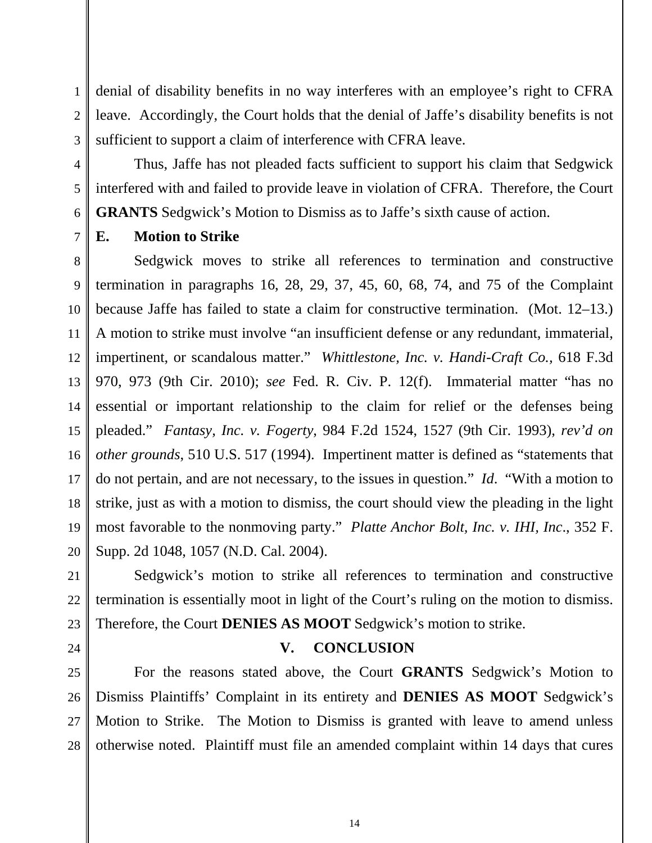1 2 3 denial of disability benefits in no way interferes with an employee's right to CFRA leave. Accordingly, the Court holds that the denial of Jaffe's disability benefits is not sufficient to support a claim of interference with CFRA leave.

Thus, Jaffe has not pleaded facts sufficient to support his claim that Sedgwick interfered with and failed to provide leave in violation of CFRA. Therefore, the Court **GRANTS** Sedgwick's Motion to Dismiss as to Jaffe's sixth cause of action.

7

4

5

6

# **E. Motion to Strike**

8 9 10 11 12 13 14 15 16 17 18 19 20 Sedgwick moves to strike all references to termination and constructive termination in paragraphs 16, 28, 29, 37, 45, 60, 68, 74, and 75 of the Complaint because Jaffe has failed to state a claim for constructive termination. (Mot. 12–13.) A motion to strike must involve "an insufficient defense or any redundant, immaterial, impertinent, or scandalous matter." *Whittlestone, Inc. v. Handi-Craft Co.,* 618 F.3d 970, 973 (9th Cir. 2010); *see* Fed. R. Civ. P. 12(f). Immaterial matter "has no essential or important relationship to the claim for relief or the defenses being pleaded." *Fantasy, Inc. v. Fogerty*, 984 F.2d 1524, 1527 (9th Cir. 1993), *rev'd on other grounds*, 510 U.S. 517 (1994). Impertinent matter is defined as "statements that do not pertain, and are not necessary, to the issues in question." *Id*. "With a motion to strike, just as with a motion to dismiss, the court should view the pleading in the light most favorable to the nonmoving party." *Platte Anchor Bolt, Inc. v. IHI, Inc*., 352 F. Supp. 2d 1048, 1057 (N.D. Cal. 2004).

21 22 23 Sedgwick's motion to strike all references to termination and constructive termination is essentially moot in light of the Court's ruling on the motion to dismiss. Therefore, the Court **DENIES AS MOOT** Sedgwick's motion to strike.

24

### **V. CONCLUSION**

25 26 27 28 For the reasons stated above, the Court **GRANTS** Sedgwick's Motion to Dismiss Plaintiffs' Complaint in its entirety and **DENIES AS MOOT** Sedgwick's Motion to Strike. The Motion to Dismiss is granted with leave to amend unless otherwise noted. Plaintiff must file an amended complaint within 14 days that cures